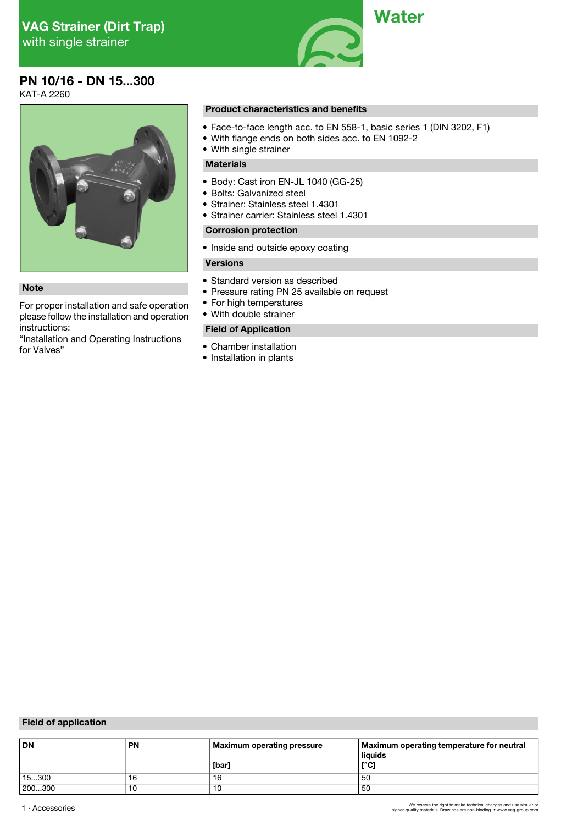

# **PN 10/16 - DN 15...300**

KAT-A 2260



For proper installation and safe operation please follow the installation and operation instructions:

"Installation and Operating Instructions

#### **Product characteristics and benefits**

- Face-to-face length acc. to EN 558-1, basic series 1 (DIN 3202, F1)
- With flange ends on both sides acc. to EN 1092-2
- With single strainer

## **Materials**

- Body: Cast iron EN-JL 1040 (GG-25)
- Bolts: Galvanized steel
- Strainer: Stainless steel 1.4301
- Strainer carrier: Stainless steel 1.4301

## **Corrosion protection**

• Inside and outside epoxy coating

## **Versions**

- Standard version as described
- **Note**<br>
 Pressure rating PN 25 available on request<br>
For proper installation and safe operation<br>
 For high temperatures
	-
	- With double strainer

## **Field of Application**

- Chamber installation
- Installation in plants

## **Field of application**

| <b>DN</b> | <b>PN</b> | Maximum operating pressure | Maximum operating temperature for neutral<br>liquids |
|-----------|-----------|----------------------------|------------------------------------------------------|
|           |           | [bar]                      | [°C]                                                 |
| 15300     | 16        | 16                         | 50                                                   |
| 200300    | 10        | ำ6                         | 50                                                   |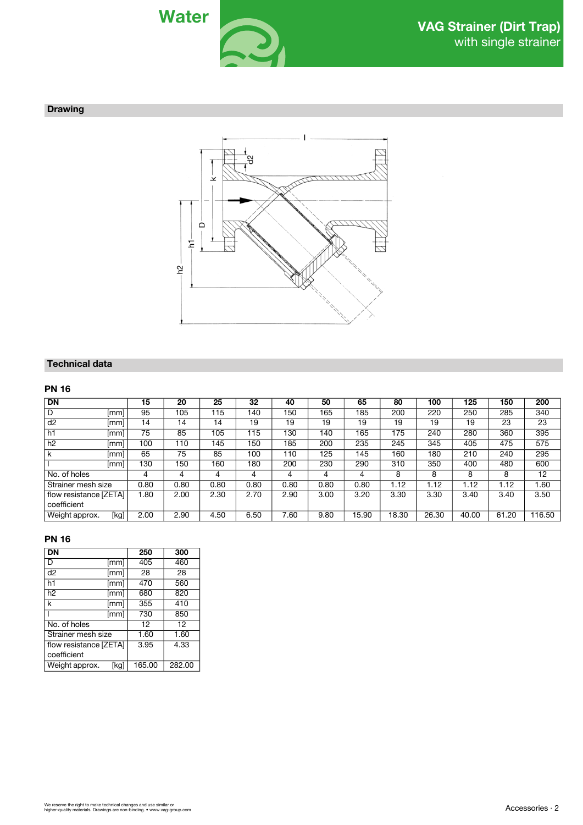

### **Drawing**



## **Technical data**

## **PN 16**

| <b>DN</b>              | 15   | 20   | 25   | 32   | 40   | 50   | 65    | 80    | 100   | 125   | 150   | 200    |
|------------------------|------|------|------|------|------|------|-------|-------|-------|-------|-------|--------|
| D<br> mm               | 95   | 105  | 115  | 140  | 150  | 165  | 185   | 200   | 220   | 250   | 285   | 340    |
| d2<br>[mm]             | 14   | 14   | 14   | 19   | 19   | 19   | 19    | 19    | 19    | 19    | 23    | 23     |
| h1<br>[mm]             | 75   | 85   | 105  | 115  | 130  | 140  | 165   | 175   | 240   | 280   | 360   | 395    |
| h2<br> mm              | 100  | 110  | 145  | 150  | 185  | 200  | 235   | 245   | 345   | 405   | 475   | 575    |
| k<br>[mm]              | 65   | 75   | 85   | 100  | 110  | 125  | 145   | 160   | 180   | 210   | 240   | 295    |
| [mm]                   | 130  | 150  | 160  | 180  | 200  | 230  | 290   | 310   | 350   | 400   | 480   | 600    |
| No. of holes           | 4    | 4    |      | 4    | 4    | 4    | 4     | 8     | 8     | 8     | 8     | 12     |
| Strainer mesh size     | 0.80 | 0.80 | 0.80 | 0.80 | 0.80 | 0.80 | 0.80  | 1.12  | 1.12  | 1.12  | 1.12  | 1.60   |
| flow resistance [ZETA] | 1.80 | 2.00 | 2.30 | 2.70 | 2.90 | 3.00 | 3.20  | 3.30  | 3.30  | 3.40  | 3.40  | 3.50   |
| coefficient            |      |      |      |      |      |      |       |       |       |       |       |        |
| Weight approx.<br>[kg] | 2.00 | 2.90 | 4.50 | 6.50 | 7.60 | 9.80 | 15.90 | 18.30 | 26.30 | 40.00 | 61.20 | 116.50 |

## **PN 16**

| <b>DN</b>              | 250    | 300    |  |
|------------------------|--------|--------|--|
| D<br>[mm]              | 405    | 460    |  |
| d2<br>[mm]             | 28     | 28     |  |
| h1<br>[mm]             | 470    | 560    |  |
| h2<br>[mm]             | 680    | 820    |  |
| k<br>[mm]              | 355    | 410    |  |
| [mm]                   | 730    | 850    |  |
| No. of holes           | 12     | 12     |  |
| Strainer mesh size     | 1.60   | 1.60   |  |
| flow resistance [ZETA] | 3.95   | 4.33   |  |
| coefficient            |        |        |  |
| Weight approx.<br>[kg] | 165.00 | 282.00 |  |